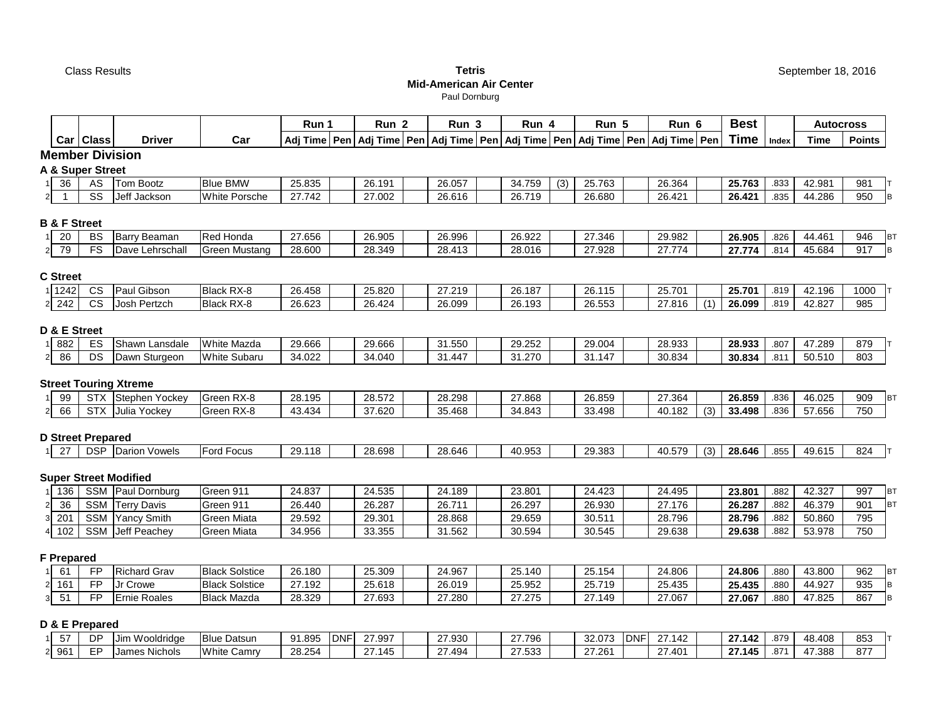## **S Tetris Mid-American Air Center**

Paul Dornburg

|                |                   |                          |                              |                       | Run 1            |            | Run <sub>2</sub>                                                                       | Run 3            | Run 4  |     | Run 5            |            | Run 6            |     | <b>Best</b> |       |                  | <b>Autocross</b> |           |
|----------------|-------------------|--------------------------|------------------------------|-----------------------|------------------|------------|----------------------------------------------------------------------------------------|------------------|--------|-----|------------------|------------|------------------|-----|-------------|-------|------------------|------------------|-----------|
|                |                   | Car Class                | <b>Driver</b>                | Car                   |                  |            | Adj Time Pen Adj Time Pen Adj Time Pen Adj Time Pen Adj Time Pen Adj Time Pen Adj Time |                  |        |     |                  |            |                  |     | <b>Time</b> | Index | Time             | <b>Points</b>    |           |
|                |                   | <b>Member Division</b>   |                              |                       |                  |            |                                                                                        |                  |        |     |                  |            |                  |     |             |       |                  |                  |           |
|                |                   | A & Super Street         |                              |                       |                  |            |                                                                                        |                  |        |     |                  |            |                  |     |             |       |                  |                  |           |
|                | 36                | AS                       | Tom Bootz                    | <b>Blue BMW</b>       | 25.835           |            | 26.191                                                                                 | 26.057           | 34.759 | (3) | 25.763           |            | 26.364           |     | 25.763      | .833  | 42.981           | 981              |           |
| $\mathbf{2}$   | $\overline{1}$    | SS                       | Jeff Jackson                 | White Porsche         | 27.742           |            | 27.002                                                                                 | 26.616           | 26.719 |     | 26.680           |            | 26.421           |     | 26.421      | .835  | 44.286           | 950              | lв        |
|                |                   | <b>B &amp; F Street</b>  |                              |                       |                  |            |                                                                                        |                  |        |     |                  |            |                  |     |             |       |                  |                  |           |
|                | 20                | <b>BS</b>                | Barry Beaman                 | Red Honda             | 27.656           |            | 26.905                                                                                 | 26.996           | 26.922 |     | 27.346           |            | 29.982           |     | 26.905      | .826  | 44.461           | 946              | BT        |
| $2 \mid$       | 79                | <b>FS</b>                | Dave Lehrschall              | <b>Green Mustang</b>  | 28.600           |            | 28.349                                                                                 | 28.413           | 28.016 |     | 27.928           |            | 27.774           |     | 27.774      | .814  | 45.684           | 917              | <b>B</b>  |
|                |                   |                          |                              |                       |                  |            |                                                                                        |                  |        |     |                  |            |                  |     |             |       |                  |                  |           |
|                | <b>C</b> Street   | <b>CS</b>                | Paul Gibson                  | Black RX-8            |                  |            | 25.820                                                                                 |                  | 26.187 |     |                  |            |                  |     | 25.701      | .819  |                  | 1000             |           |
| $2$ 242        | 1 1 2 4 2         | <b>CS</b>                | Josh Pertzch                 | Black RX-8            | 26.458<br>26.623 |            | 26.424                                                                                 | 27.219<br>26.099 | 26.193 |     | 26.115<br>26.553 |            | 25.701<br>27.816 | (1) | 26.099      | .819  | 42.196<br>42.827 | 985              |           |
|                |                   |                          |                              |                       |                  |            |                                                                                        |                  |        |     |                  |            |                  |     |             |       |                  |                  |           |
|                |                   | D & E Street             |                              |                       |                  |            |                                                                                        |                  |        |     |                  |            |                  |     |             |       |                  |                  |           |
| 11             | 882               | ES                       | Shawn Lansdale               | White Mazda           | 29.666           |            | 29.666                                                                                 | 31.550           | 29.252 |     | 29.004           |            | 28.933           |     | 28.933      | .807  | 47.289           | 879              |           |
| $\mathbf{2}$   | 86                | DS                       | Dawn Sturgeon                | <b>White Subaru</b>   | 34.022           |            | 34.040                                                                                 | 31.447           | 31.270 |     | 31.147           |            | 30.834           |     | 30.834      | .811  | 50.510           | 803              |           |
|                |                   |                          | <b>Street Touring Xtreme</b> |                       |                  |            |                                                                                        |                  |        |     |                  |            |                  |     |             |       |                  |                  |           |
| 1              | 99                |                          | STX Stephen Yockey           | Green RX-8            | 28.195           |            | 28.572                                                                                 | 28.298           | 27.868 |     | 26.859           |            | 27.364           |     | 26.859      | .836  | 46.025           | 909              | <b>BT</b> |
| $2 \mid$       | 66                |                          | STX Julia Yockey             | Green RX-8            | 43.434           |            | 37.620                                                                                 | 35.468           | 34.843 |     | 33.498           |            | 40.182           | (3) | 33.498      | .836  | 57.656           | 750              |           |
|                |                   |                          |                              |                       |                  |            |                                                                                        |                  |        |     |                  |            |                  |     |             |       |                  |                  |           |
|                | 27                | <b>D Street Prepared</b> | <b>DSP</b> Darion Vowels     | <b>Ford Focus</b>     | 29.118           |            | 28.698                                                                                 | 28.646           | 40.953 |     | 29.383           |            | 40.579           | (3) | 28.646      | .855  | 49.615           | 824              |           |
|                |                   |                          |                              |                       |                  |            |                                                                                        |                  |        |     |                  |            |                  |     |             |       |                  |                  |           |
|                |                   |                          | <b>Super Street Modified</b> |                       |                  |            |                                                                                        |                  |        |     |                  |            |                  |     |             |       |                  |                  |           |
| 11             | 136               |                          | SSM   Paul Dornburg          | Green 911             | 24.837           |            | 24.535                                                                                 | 24.189           | 23.801 |     | 24.423           |            | 24.495           |     | 23.801      | .882  | 42.327           | 997              | BT        |
| $\mathbf{2}$   | 36                |                          | SSM Terry Davis              | Green 911             | 26.440           |            | 26.287                                                                                 | 26.711           | 26.297 |     | 26.930           |            | 27.176           |     | 26.287      | .882  | 46.379           | 901              | <b>BT</b> |
| 3              | 201               | <b>SSM</b>               | <b>Yancy Smith</b>           | Green Miata           | 29.592           |            | 29.301                                                                                 | 28.868           | 29.659 |     | 30.511           |            | 28.796           |     | 28.796      | .882  | 50.860           | 795              |           |
| 4 102          |                   | <b>SSM</b>               | Jeff Peachey                 | Green Miata           | 34.956           |            | 33.355                                                                                 | 31.562           | 30.594 |     | 30.545           |            | 29.638           |     | 29.638      | .882  | 53.978           | 750              |           |
|                | <b>F</b> Prepared |                          |                              |                       |                  |            |                                                                                        |                  |        |     |                  |            |                  |     |             |       |                  |                  |           |
| 1              | 61                | FP                       | <b>Richard Grav</b>          | <b>Black Solstice</b> | 26.180           |            | 25.309                                                                                 | 24.967           | 25.140 |     | 25.154           |            | 24.806           |     | 24.806      | .880  | 43.800           | 962              | <b>BT</b> |
| $2$ 161        |                   | <b>FP</b>                | Jr Crowe                     | <b>Black Solstice</b> | 27.192           |            | 25.618                                                                                 | 26.019           | 25.952 |     | 25.719           |            | 25.435           |     | 25.435      | .880  | 44.927           | 935              | B         |
| 3 <sup>1</sup> | 51                | <b>FP</b>                | <b>Ernie Roales</b>          | <b>Black Mazda</b>    | 28.329           |            | 27.693                                                                                 | 27.280           | 27.275 |     | 27.149           |            | 27.067           |     | 27.067      | .880  | 47.825           | 867              | <b>B</b>  |
|                |                   | D & E Prepared           |                              |                       |                  |            |                                                                                        |                  |        |     |                  |            |                  |     |             |       |                  |                  |           |
|                | 57                | <b>DP</b>                | Jim Wooldridge               | <b>Blue Datsun</b>    | 91.895           | <b>DNF</b> | 27.997                                                                                 | 27.930           | 27.796 |     | 32.073           | <b>DNF</b> | 27.142           |     | 27.142      | .879  | 48.408           | 853              |           |
| 2 <sup>1</sup> | 961               | EP                       | James Nichols                | <b>White Camry</b>    | 28.254           |            | 27.145                                                                                 | 27.494           | 27.533 |     | 27.261           |            | 27.401           |     | 27.145      | .871  | 47.388           | 877              |           |

September 18, 2016

1 **27.145** .871 47.388 877